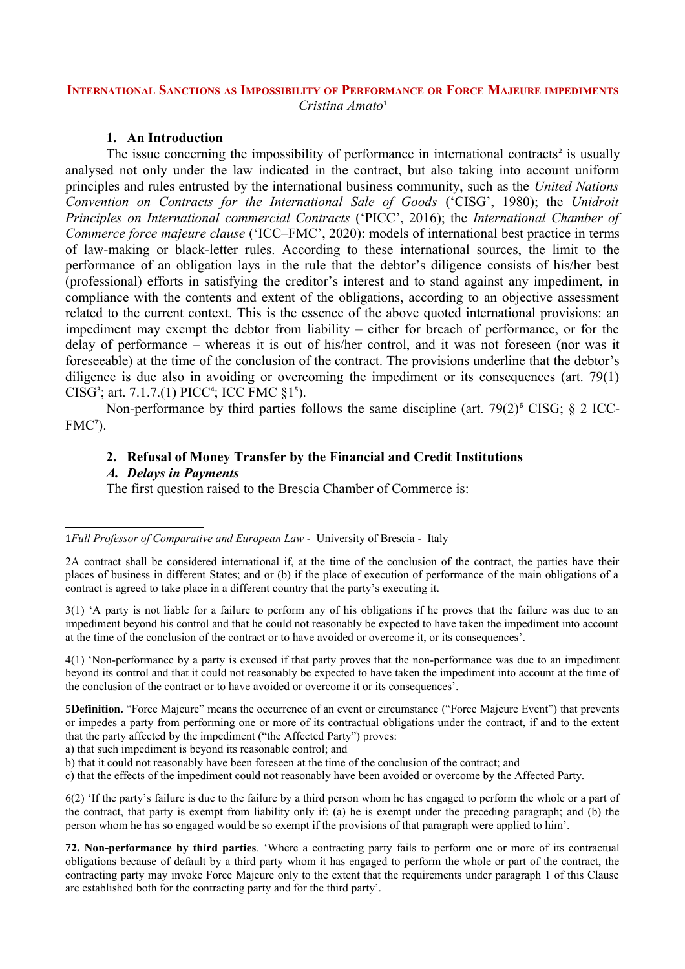#### **INTERNATIONAL SANCTIONS AS IMPOSSIBILITY OF PERFORMANCE OR FORCE MAJEURE IMPEDIMENTS** *Cristina Amato*[1](#page-0-0)

## **1. An Introduction**

The issue concerning the impossibility of performance in international contracts<sup>[2](#page-0-1)</sup> is usually analysed not only under the law indicated in the contract, but also taking into account uniform principles and rules entrusted by the international business community, such as the *United Nations Convention on Contracts for the International Sale of Goods* ('CISG', 1980); the *Unidroit Principles on International commercial Contracts* ('PICC', 2016); the *International Chamber of Commerce force majeure clause* ('ICC–FMC', 2020): models of international best practice in terms of law-making or black-letter rules. According to these international sources, the limit to the performance of an obligation lays in the rule that the debtor's diligence consists of his/her best (professional) efforts in satisfying the creditor's interest and to stand against any impediment, in compliance with the contents and extent of the obligations, according to an objective assessment related to the current context. This is the essence of the above quoted international provisions: an impediment may exempt the debtor from liability – either for breach of performance, or for the delay of performance – whereas it is out of his/her control, and it was not foreseen (nor was it foreseeable) at the time of the conclusion of the contract. The provisions underline that the debtor's diligence is due also in avoiding or overcoming the impediment or its consequences (art. 79(1) CISG<sup>[3](#page-0-2)</sup>; art. 7.1.7.(1) PICC<sup>[4](#page-0-3)</sup>; ICC FMC  $\S1^5$  $\S1^5$ ).

Non-performance by third parties follows the same discipline (art.  $79(2)^6$  $79(2)^6$  CISG; § 2 ICC-FMC<sup>[7](#page-0-6)</sup>).

## **2. Refusal of Money Transfer by the Financial and Credit Institutions**

#### *A. Delays in Payments*

The first question raised to the Brescia Chamber of Commerce is:

<span id="page-0-2"></span>3(1) 'A party is not liable for a failure to perform any of his obligations if he proves that the failure was due to an impediment beyond his control and that he could not reasonably be expected to have taken the impediment into account at the time of the conclusion of the contract or to have avoided or overcome it, or its consequences'.

<span id="page-0-3"></span>4(1) 'Non-performance by a party is excused if that party proves that the non-performance was due to an impediment beyond its control and that it could not reasonably be expected to have taken the impediment into account at the time of the conclusion of the contract or to have avoided or overcome it or its consequences'.

<span id="page-0-4"></span>5**Definition.** "Force Majeure" means the occurrence of an event or circumstance ("Force Majeure Event") that prevents or impedes a party from performing one or more of its contractual obligations under the contract, if and to the extent that the party affected by the impediment ("the Affected Party") proves:

a) that such impediment is beyond its reasonable control; and

b) that it could not reasonably have been foreseen at the time of the conclusion of the contract; and

c) that the effects of the impediment could not reasonably have been avoided or overcome by the Affected Party.

<span id="page-0-5"></span>6(2) 'If the party's failure is due to the failure by a third person whom he has engaged to perform the whole or a part of the contract, that party is exempt from liability only if: (a) he is exempt under the preceding paragraph; and (b) the person whom he has so engaged would be so exempt if the provisions of that paragraph were applied to him'.

<span id="page-0-6"></span>7**2. Non-performance by third parties**. 'Where a contracting party fails to perform one or more of its contractual obligations because of default by a third party whom it has engaged to perform the whole or part of the contract, the contracting party may invoke Force Majeure only to the extent that the requirements under paragraph 1 of this Clause are established both for the contracting party and for the third party'.

<span id="page-0-0"></span><sup>1</sup>*Full Professor of Comparative and European Law* - University of Brescia - Italy

<span id="page-0-1"></span><sup>2</sup>A contract shall be considered international if, at the time of the conclusion of the contract, the parties have their places of business in different States; and or (b) if the place of execution of performance of the main obligations of a contract is agreed to take place in a different country that the party's executing it.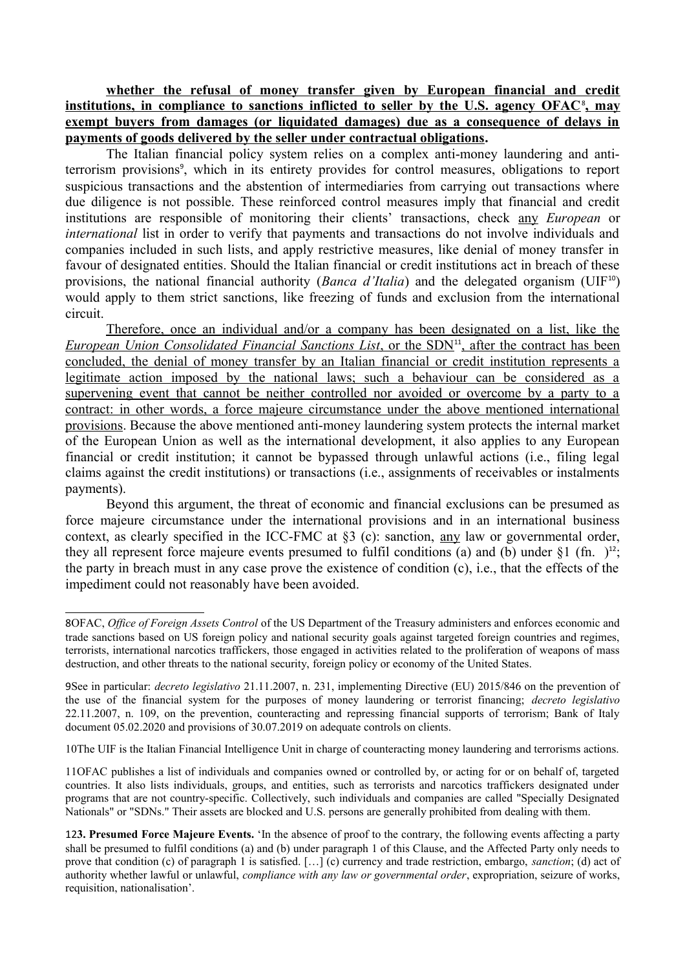**whether the refusal of money transfer given by European financial and credit institutions, in compliance to sanctions inflicted to seller by the U.S. agency OFAC**[8](#page-1-0) **, may exempt buyers from damages (or liquidated damages) due as a consequence of delays in payments of goods delivered by the seller under contractual obligations.** 

The Italian financial policy system relies on a complex anti-money laundering and anti-terrorism provisions<sup>[9](#page-1-1)</sup>, which in its entirety provides for control measures, obligations to report suspicious transactions and the abstention of intermediaries from carrying out transactions where due diligence is not possible. These reinforced control measures imply that financial and credit institutions are responsible of monitoring their clients' transactions, check any *European* or *international* list in order to verify that payments and transactions do not involve individuals and companies included in such lists, and apply restrictive measures, like denial of money transfer in favour of designated entities. Should the Italian financial or credit institutions act in breach of these provisions, the national financial authority (*Banca d'Italia*) and the delegated organism (UIF<sup>[10](#page-1-2)</sup>) would apply to them strict sanctions, like freezing of funds and exclusion from the international circuit.

Therefore, once an individual and/or a company has been designated on a list, like the *European Union Consolidated Financial Sanctions List*, or the SDN<sup>[11](#page-1-3)</sup>, after the contract has been concluded, the denial of money transfer by an Italian financial or credit institution represents a legitimate action imposed by the national laws; such a behaviour can be considered as a supervening event that cannot be neither controlled nor avoided or overcome by a party to a contract: in other words, a force majeure circumstance under the above mentioned international provisions. Because the above mentioned anti-money laundering system protects the internal market of the European Union as well as the international development, it also applies to any European financial or credit institution; it cannot be bypassed through unlawful actions (i.e., filing legal claims against the credit institutions) or transactions (i.e., assignments of receivables or instalments payments).

Beyond this argument, the threat of economic and financial exclusions can be presumed as force majeure circumstance under the international provisions and in an international business context, as clearly specified in the ICC-FMC at §3 (c): sanction, any law or governmental order, they all represent force majeure events presumed to fulfil conditions (a) and (b) under  $\S1$  (fn. )<sup>[12](#page-1-4)</sup>; the party in breach must in any case prove the existence of condition (c), i.e., that the effects of the impediment could not reasonably have been avoided.

<span id="page-1-2"></span>10The UIF is the Italian Financial Intelligence Unit in charge of counteracting money laundering and terrorisms actions.

<span id="page-1-3"></span>11OFAC publishes a list of individuals and companies owned or controlled by, or acting for or on behalf of, targeted countries. It also lists individuals, groups, and entities, such as terrorists and narcotics traffickers designated under programs that are not country-specific. Collectively, such individuals and companies are called "Specially Designated Nationals" or "SDNs." Their assets are blocked and U.S. persons are generally prohibited from dealing with them.

<span id="page-1-0"></span><sup>8</sup>OFAC, *Office of Foreign Assets Control* of the US Department of the Treasury administers and enforces economic and trade sanctions based on US foreign policy and national security goals against targeted foreign countries and regimes, terrorists, international narcotics traffickers, those engaged in activities related to the proliferation of weapons of mass destruction, and other threats to the national security, foreign policy or economy of the United States.

<span id="page-1-1"></span><sup>9</sup>See in particular: *decreto legislativo* 21.11.2007, n. 231, implementing Directive (EU) 2015/846 on the prevention of the use of the financial system for the purposes of money laundering or terrorist financing; *decreto legislativo* 22.11.2007, n. 109, on the prevention, counteracting and repressing financial supports of terrorism; Bank of Italy document 05.02.2020 and provisions of 30.07.2019 on adequate controls on clients.

<span id="page-1-4"></span><sup>12</sup>**3. Presumed Force Majeure Events.** 'In the absence of proof to the contrary, the following events affecting a party shall be presumed to fulfil conditions (a) and (b) under paragraph 1 of this Clause, and the Affected Party only needs to prove that condition (c) of paragraph 1 is satisfied. […] (c) currency and trade restriction, embargo, *sanction*; (d) act of authority whether lawful or unlawful, *compliance with any law or governmental order*, expropriation, seizure of works, requisition, nationalisation'.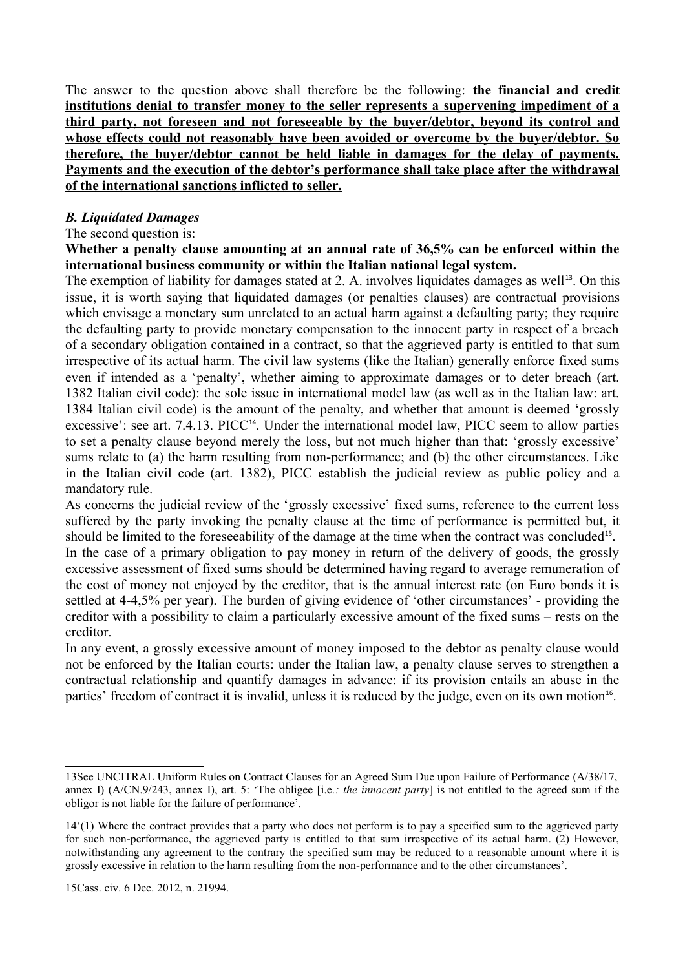The answer to the question above shall therefore be the following: **the financial and credit institutions denial to transfer money to the seller represents a supervening impediment of a third party, not foreseen and not foreseeable by the buyer/debtor, beyond its control and whose effects could not reasonably have been avoided or overcome by the buyer/debtor. So therefore, the buyer/debtor cannot be held liable in damages for the delay of payments. Payments and the execution of the debtor's performance shall take place after the withdrawal of the international sanctions inflicted to seller.**

# *B. Liquidated Damages*

## The second question is:

**Whether a penalty clause amounting at an annual rate of 36,5% can be enforced within the international business community or within the Italian national legal system.**

The exemption of liability for damages stated at 2. A. involves liquidates damages as well<sup>[13](#page-2-0)</sup>. On this issue, it is worth saying that liquidated damages (or penalties clauses) are contractual provisions which envisage a monetary sum unrelated to an actual harm against a defaulting party; they require the defaulting party to provide monetary compensation to the innocent party in respect of a breach of a secondary obligation contained in a contract, so that the aggrieved party is entitled to that sum irrespective of its actual harm. The civil law systems (like the Italian) generally enforce fixed sums even if intended as a 'penalty', whether aiming to approximate damages or to deter breach (art. 1382 Italian civil code): the sole issue in international model law (as well as in the Italian law: art. 1384 Italian civil code) is the amount of the penalty, and whether that amount is deemed 'grossly excessive': see art. 7.4.13. PICC<sup>[14](#page-2-1)</sup>. Under the international model law, PICC seem to allow parties to set a penalty clause beyond merely the loss, but not much higher than that: 'grossly excessive' sums relate to (a) the harm resulting from non-performance; and (b) the other circumstances. Like in the Italian civil code (art. 1382), PICC establish the judicial review as public policy and a mandatory rule.

As concerns the judicial review of the 'grossly excessive' fixed sums, reference to the current loss suffered by the party invoking the penalty clause at the time of performance is permitted but, it should be limited to the foreseeability of the damage at the time when the contract was concluded<sup>[15](#page-2-2)</sup>.

In the case of a primary obligation to pay money in return of the delivery of goods, the grossly excessive assessment of fixed sums should be determined having regard to average remuneration of the cost of money not enjoyed by the creditor, that is the annual interest rate (on Euro bonds it is settled at 4-4,5% per year). The burden of giving evidence of 'other circumstances' - providing the creditor with a possibility to claim a particularly excessive amount of the fixed sums – rests on the creditor.

In any event, a grossly excessive amount of money imposed to the debtor as penalty clause would not be enforced by the Italian courts: under the Italian law, a penalty clause serves to strengthen a contractual relationship and quantify damages in advance: if its provision entails an abuse in the parties' freedom of contract it is invalid, unless it is reduced by the judge, even on its own motion<sup>[16](#page-3-0)</sup>.

<span id="page-2-0"></span><sup>13</sup>See UNCITRAL Uniform Rules on Contract Clauses for an Agreed Sum Due upon Failure of Performance (A/38/17, annex I) (A/CN.9/243, annex I), art. 5: 'The obligee [i.e*.: the innocent party*] is not entitled to the agreed sum if the obligor is not liable for the failure of performance'.

<span id="page-2-2"></span><span id="page-2-1"></span><sup>14&#</sup>x27;(1) Where the contract provides that a party who does not perform is to pay a specified sum to the aggrieved party for such non-performance, the aggrieved party is entitled to that sum irrespective of its actual harm. (2) However, notwithstanding any agreement to the contrary the specified sum may be reduced to a reasonable amount where it is grossly excessive in relation to the harm resulting from the non-performance and to the other circumstances'.